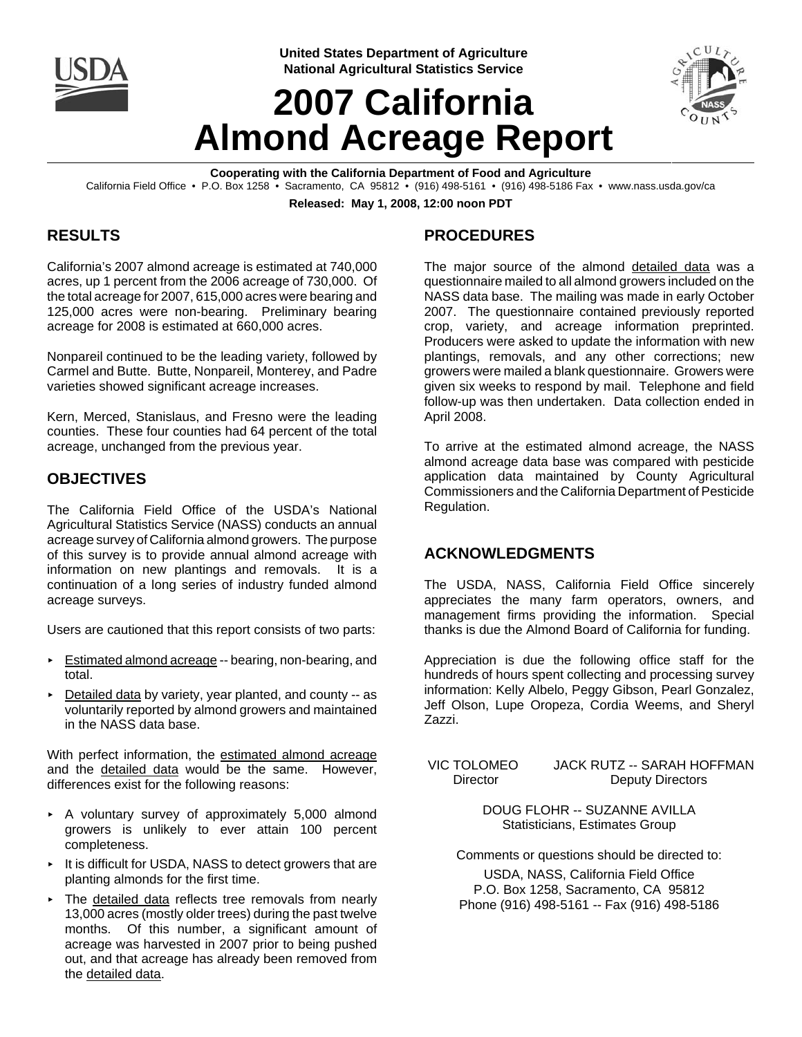

**United States Department of Agriculture National Agricultural Statistics Service**

# **2007 California Almond Acreage Report**



**Cooperating with the California Department of Food and Agriculture** California Field Office • P.O. Box 1258 • Sacramento, CA 95812 • (916) 498-5161 • (916) 498-5186 Fax • www.nass.usda.gov/ca

**Released: May 1, 2008, 12:00 noon PDT**

# **RESULTS**

California's 2007 almond acreage is estimated at 740,000 acres, up 1 percent from the 2006 acreage of 730,000. Of the total acreage for 2007, 615,000 acres were bearing and 125,000 acres were non-bearing. Preliminary bearing acreage for 2008 is estimated at 660,000 acres.

Nonpareil continued to be the leading variety, followed by Carmel and Butte. Butte, Nonpareil, Monterey, and Padre varieties showed significant acreage increases.

Kern, Merced, Stanislaus, and Fresno were the leading counties. These four counties had 64 percent of the total acreage, unchanged from the previous year.

### **OBJECTIVES**

The California Field Office of the USDA's National Agricultural Statistics Service (NASS) conducts an annual acreage survey of California almond growers. The purpose of this survey is to provide annual almond acreage with information on new plantings and removals. It is a continuation of a long series of industry funded almond acreage surveys.

Users are cautioned that this report consists of two parts:

- Estimated almond acreage -- bearing, non-bearing, and total.
- $\triangleright$  Detailed data by variety, year planted, and county  $-$  as voluntarily reported by almond growers and maintained in the NASS data base.

With perfect information, the estimated almond acreage and the detailed data would be the same. However, differences exist for the following reasons:

- < A voluntary survey of approximately 5,000 almond growers is unlikely to ever attain 100 percent completeness.
- < It is difficult for USDA, NASS to detect growers that are planting almonds for the first time.
- < The detailed data reflects tree removals from nearly 13,000 acres (mostly older trees) during the past twelve months. Of this number, a significant amount of acreage was harvested in 2007 prior to being pushed out, and that acreage has already been removed from the detailed data.

# **PROCEDURES**

The major source of the almond detailed data was a questionnaire mailed to all almond growers included on the NASS data base. The mailing was made in early October 2007. The questionnaire contained previously reported crop, variety, and acreage information preprinted. Producers were asked to update the information with new plantings, removals, and any other corrections; new growers were mailed a blank questionnaire. Growers were given six weeks to respond by mail. Telephone and field follow-up was then undertaken. Data collection ended in April 2008.

To arrive at the estimated almond acreage, the NASS almond acreage data base was compared with pesticide application data maintained by County Agricultural Commissioners and the California Department of Pesticide Regulation.

### **ACKNOWLEDGMENTS**

The USDA, NASS, California Field Office sincerely appreciates the many farm operators, owners, and management firms providing the information. Special thanks is due the Almond Board of California for funding.

Appreciation is due the following office staff for the hundreds of hours spent collecting and processing survey information: Kelly Albelo, Peggy Gibson, Pearl Gonzalez, Jeff Olson, Lupe Oropeza, Cordia Weems, and Sheryl Zazzi.

 VIC TOLOMEO JACK RUTZ -- SARAH HOFFMAN Director Deputy Directors

> DOUG FLOHR -- SUZANNE AVILLA Statisticians, Estimates Group

Comments or questions should be directed to:

USDA, NASS, California Field Office P.O. Box 1258, Sacramento, CA 95812 Phone (916) 498-5161 -- Fax (916) 498-5186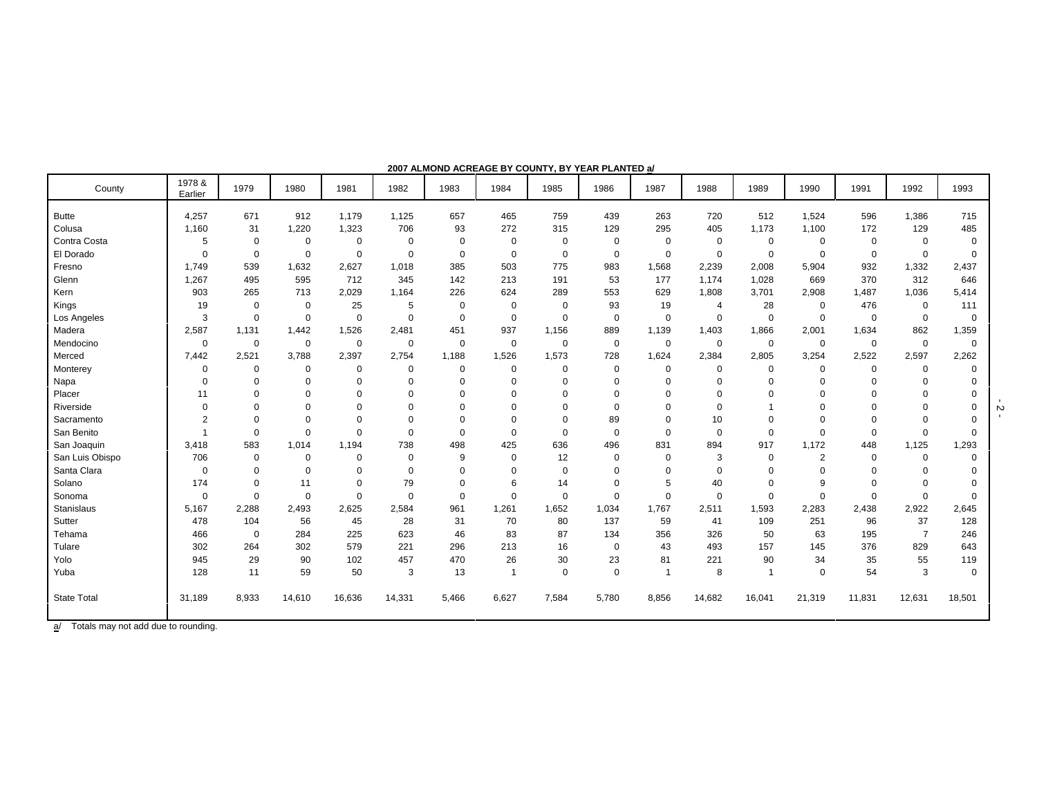| County             | 1978 &<br>Earlier        | 1979        | 1980           | 1981        | 1982        | 1983        | 1984        | 1985        | 1986        | 1987        | 1988        | 1989        | 1990           | 1991        | 1992           | 1993        |
|--------------------|--------------------------|-------------|----------------|-------------|-------------|-------------|-------------|-------------|-------------|-------------|-------------|-------------|----------------|-------------|----------------|-------------|
| <b>Butte</b>       | 4,257                    | 671         | 912            | 1,179       | 1,125       | 657         | 465         | 759         | 439         | 263         | 720         | 512         | 1,524          | 596         | 1,386          | 715         |
| Colusa             | 1,160                    | 31          | 1,220          | 1,323       | 706         | 93          | 272         | 315         | 129         | 295         | 405         | 1,173       | 1,100          | 172         | 129            | 485         |
| Contra Costa       | 5                        | 0           | 0              | 0           | 0           | 0           | 0           | 0           | 0           | $\mathbf 0$ | 0           | 0           | $\Omega$       | 0           | $\mathbf 0$    | 0           |
| El Dorado          | $\mathbf 0$              | $\mathbf 0$ | $\mathbf 0$    | $\mathbf 0$ | $\Omega$    | $\mathbf 0$ | 0           | $\mathbf 0$ | $\mathbf 0$ | $\mathbf 0$ | $\mathbf 0$ | $\mathbf 0$ | $\Omega$       | $\mathbf 0$ | $\mathbf 0$    | $\mathbf 0$ |
| Fresno             | 1,749                    | 539         | 1,632          | 2,627       | 1,018       | 385         | 503         | 775         | 983         | 1,568       | 2,239       | 2,008       | 5,904          | 932         | 1,332          | 2,437       |
| Glenn              | 1,267                    | 495         | 595            | 712         | 345         | 142         | 213         | 191         | 53          | 177         | 1,174       | 1,028       | 669            | 370         | 312            | 646         |
| Kern               | 903                      | 265         | 713            | 2,029       | 1,164       | 226         | 624         | 289         | 553         | 629         | 1,808       | 3,701       | 2,908          | 1,487       | 1,036          | 5,414       |
| Kings              | 19                       | $\mathbf 0$ | $\mathbf 0$    | 25          | 5           | 0           | $\Omega$    | $\Omega$    | 93          | 19          | 4           | 28          | 0              | 476         | 0              | 111         |
| Los Angeles        | 3                        | $\mathbf 0$ | $\mathbf 0$    | 0           | $\Omega$    | $\Omega$    | $\Omega$    | $\Omega$    | $\mathbf 0$ | 0           | $\mathbf 0$ | 0           | $\Omega$       | 0           | $\mathbf 0$    | 0           |
| Madera             | 2,587                    | 1,131       | 1,442          | 1,526       | 2,481       | 451         | 937         | 1,156       | 889         | 1,139       | 1,403       | 1,866       | 2,001          | 1,634       | 862            | 1,359       |
| Mendocino          | 0                        | 0           | $\mathbf 0$    | 0           | 0           | 0           | 0           | $\mathbf 0$ | 0           | 0           | 0           | 0           | 0              | 0           | $\mathbf 0$    | 0           |
| Merced             | 7,442                    | 2,521       | 3,788          | 2,397       | 2,754       | 1,188       | 1,526       | 1,573       | 728         | 1,624       | 2,384       | 2,805       | 3,254          | 2,522       | 2,597          | 2,262       |
| Monterey           | 0                        | $\mathbf 0$ | $\mathbf 0$    | $\mathbf 0$ | $\mathbf 0$ | $\mathbf 0$ | 0           | $\Omega$    | $\mathbf 0$ | $\mathbf 0$ | $\Omega$    | $\mathbf 0$ | 0              | $\mathbf 0$ | $\mathbf 0$    | 0           |
| Napa               | 0                        | $\mathbf 0$ | $\mathbf 0$    | 0           | $\Omega$    | $\Omega$    | 0           | $\Omega$    | $\Omega$    | $\Omega$    | $\Omega$    | $\Omega$    | $\Omega$       | $\Omega$    | $\Omega$       | $\Omega$    |
| Placer             | 11                       | $\Omega$    | $\mathbf 0$    | $\Omega$    | $\Omega$    | $\Omega$    | 0           | $\Omega$    | $\Omega$    | $\Omega$    | $\Omega$    | $\Omega$    | $\Omega$       | $\Omega$    | $\mathbf 0$    | $\Omega$    |
| Riverside          | $\mathbf 0$              | $\mathbf 0$ | $\overline{0}$ | 0           | $\Omega$    | $\Omega$    | 0           | $\Omega$    | $\mathbf 0$ | $\Omega$    | $\Omega$    |             | 0              | $\Omega$    | $\Omega$       |             |
| Sacramento         | $\overline{c}$           | $\Omega$    | $\mathbf 0$    | $\mathbf 0$ | $\Omega$    | $\Omega$    | $\Omega$    | $\Omega$    | 89          | $\Omega$    | 10          | $\Omega$    | $\Omega$       | $\Omega$    | $\Omega$       | $\Omega$    |
| San Benito         | $\overline{\phantom{a}}$ | $\mathbf 0$ | $\mathbf 0$    | $\Omega$    | $\Omega$    | $\mathbf 0$ | $\mathbf 0$ | $\mathbf 0$ | $\mathbf 0$ | $\Omega$    | $\mathbf 0$ | $\Omega$    | $\Omega$       | $\mathbf 0$ | $\mathbf 0$    | $\mathbf 0$ |
| San Joaquin        | 3,418                    | 583         | 1,014          | 1,194       | 738         | 498         | 425         | 636         | 496         | 831         | 894         | 917         | 1,172          | 448         | 1,125          | 1,293       |
| San Luis Obispo    | 706                      | $\mathbf 0$ | $\mathbf 0$    | 0           | $\mathbf 0$ | 9           | $\Omega$    | 12          | $\mathbf 0$ | $\mathbf 0$ | 3           | $\mathbf 0$ | $\overline{2}$ | $\mathbf 0$ | $\mathbf 0$    | 0           |
| Santa Clara        | 0                        | 0           | $\mathbf 0$    | 0           | $\Omega$    | $\Omega$    | 0           | $\Omega$    | $\Omega$    | $\Omega$    | $\Omega$    | $\Omega$    | $\Omega$       | $\Omega$    | $\Omega$       | $\Omega$    |
| Solano             | 174                      | $\mathbf 0$ | 11             | $\mathbf 0$ | 79          | $\mathbf 0$ | 6           | 14          | $\Omega$    | 5           | 40          | $\Omega$    | 9              | $\Omega$    | $\Omega$       |             |
| Sonoma             | 0                        | $\mathbf 0$ | $\mathbf 0$    | 0           | $\Omega$    | $\mathbf 0$ | 0           | $\Omega$    | $\mathbf 0$ | $\mathbf 0$ | $\mathbf 0$ | $\mathbf 0$ | $\Omega$       | $\mathbf 0$ | $\Omega$       | $\Omega$    |
| Stanislaus         | 5,167                    | 2,288       | 2,493          | 2,625       | 2,584       | 961         | 1,261       | 1,652       | 1,034       | 1,767       | 2,511       | 1,593       | 2,283          | 2,438       | 2,922          | 2,645       |
| Sutter             | 478                      | 104         | 56             | 45          | 28          | 31          | 70          | 80          | 137         | 59          | 41          | 109         | 251            | 96          | 37             | 128         |
| Tehama             | 466                      | $\mathbf 0$ | 284            | 225         | 623         | 46          | 83          | 87          | 134         | 356         | 326         | 50          | 63             | 195         | $\overline{7}$ | 246         |
| Tulare             | 302                      | 264         | 302            | 579         | 221         | 296         | 213         | 16          | $\mathbf 0$ | 43          | 493         | 157         | 145            | 376         | 829            | 643         |
| Yolo               | 945                      | 29          | 90             | 102         | 457         | 470         | 26          | 30          | 23          | 81          | 221         | 90          | 34             | 35          | 55             | 119         |
| Yuba               | 128                      | 11          | 59             | 50          | 3           | 13          | -1          | $\Omega$    | $\Omega$    | -1          | 8           |             | 0              | 54          | 3              | 0           |
| <b>State Total</b> | 31,189                   | 8,933       | 14,610         | 16,636      | 14,331      | 5,466       | 6,627       | 7,584       | 5,780       | 8,856       | 14,682      | 16,041      | 21,319         | 11,831      | 12,631         | 18,501      |

**2007 ALMOND ACREAGE BY COUNTY, BY YEAR PLANTED a/**

 $\frac{1}{2}$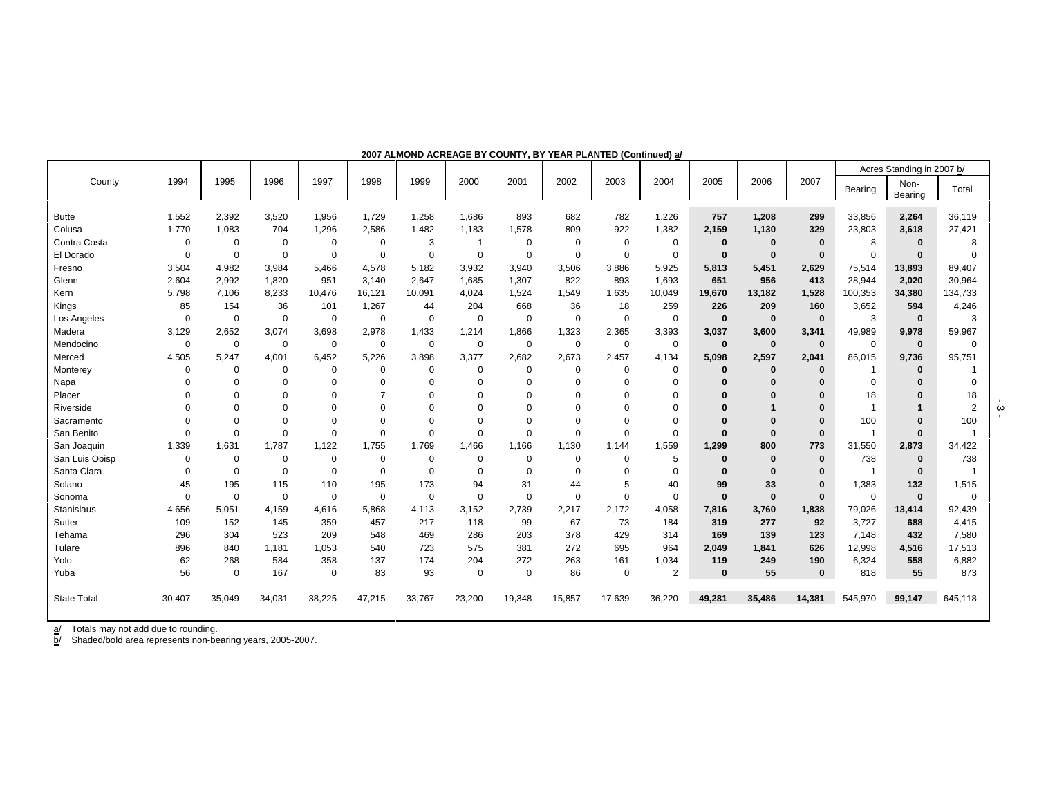|                    |             |             |             |             |                |             |             |             |             |             | (vvinninuvu) u |              |              |          |              | Acres Standing in 2007 b/ |                |
|--------------------|-------------|-------------|-------------|-------------|----------------|-------------|-------------|-------------|-------------|-------------|----------------|--------------|--------------|----------|--------------|---------------------------|----------------|
| County             | 1994        | 1995        | 1996        | 1997        | 1998           | 1999        | 2000        | 2001        | 2002        | 2003        | 2004           | 2005         | 2006         | 2007     | Bearing      | Non-<br>Bearing           | Total          |
| <b>Butte</b>       | 1,552       | 2,392       | 3,520       | 1,956       | 1,729          | 1,258       | 1.686       | 893         | 682         | 782         | 1.226          | 757          | 1,208        | 299      | 33.856       | 2,264                     | 36.119         |
| Colusa             | 1.770       | 1,083       | 704         | 1,296       | 2,586          | 1,482       | 1,183       | 1,578       | 809         | 922         | 1,382          | 2.159        | 1,130        | 329      | 23,803       | 3,618                     | 27,421         |
| Contra Costa       | $\mathbf 0$ | $\mathbf 0$ | 0           | $\mathbf 0$ | $\mathbf 0$    | 3           |             | $\mathbf 0$ | $\mathbf 0$ | $\mathbf 0$ | $\mathbf 0$    | $\bf{0}$     | $\mathbf 0$  | $\bf{0}$ | 8            | $\mathbf 0$               | 8              |
| El Dorado          | $\mathbf 0$ | $\mathbf 0$ | $\mathbf 0$ | $\mathbf 0$ | $\mathbf 0$    | $\Omega$    | $\mathbf 0$ | $\mathbf 0$ | $\mathbf 0$ | $\mathbf 0$ | $\mathbf 0$    | $\mathbf{0}$ | $\mathbf 0$  | $\bf{0}$ | $\Omega$     | $\bf{0}$                  | $\Omega$       |
| Fresno             | 3,504       | 4,982       | 3,984       | 5.466       | 4,578          | 5.182       | 3.932       | 3.940       | 3,506       | 3.886       | 5,925          | 5,813        | 5,451        | 2,629    | 75,514       | 13,893                    | 89,407         |
| Glenn              | 2.604       | 2,992       | 1,820       | 951         | 3.140          | 2.647       | 1.685       | 1,307       | 822         | 893         | 1,693          | 651          | 956          | 413      | 28,944       | 2,020                     | 30,964         |
| Kern               | 5,798       | 7,106       | 8,233       | 10,476      | 16,121         | 10,091      | 4,024       | 1,524       | 1,549       | 1,635       | 10,049         | 19,670       | 13,182       | 1,528    | 100,353      | 34,380                    | 134,733        |
| Kings              | 85          | 154         | 36          | 101         | 1,267          | 44          | 204         | 668         | 36          | 18          | 259            | 226          | 209          | 160      | 3,652        | 594                       | 4,246          |
| Los Angeles        | $\mathbf 0$ | $\mathbf 0$ | 0           | 0           | $\mathbf 0$    | $\mathbf 0$ | $\mathbf 0$ | $\mathbf 0$ | $\mathbf 0$ | 0           | $\mathbf 0$    | $\bf{0}$     | $\mathbf 0$  | $\bf{0}$ | 3            | $\mathbf 0$               | 3              |
| Madera             | 3,129       | 2,652       | 3,074       | 3,698       | 2,978          | 1,433       | 1,214       | 1.866       | 1,323       | 2,365       | 3,393          | 3.037        | 3,600        | 3,341    | 49,989       | 9,978                     | 59,967         |
| Mendocino          | 0           | $\mathbf 0$ | 0           | 0           | 0              | $\mathbf 0$ | 0           | 0           | $\mathbf 0$ | 0           | 0              | $\bf{0}$     | $\mathbf 0$  | $\bf{0}$ | $\Omega$     | $\mathbf 0$               | $\Omega$       |
| Merced             | 4,505       | 5,247       | 4,001       | 6,452       | 5,226          | 3,898       | 3,377       | 2,682       | 2,673       | 2,457       | 4,134          | 5,098        | 2,597        | 2,041    | 86,015       | 9,736                     | 95,751         |
| Monterey           | $\mathbf 0$ | 0           | 0           | 0           | 0              | $\Omega$    | 0           | 0           | 0           | 0           | 0              | $\bf{0}$     | $\mathbf 0$  | $\bf{0}$ | -1           | $\bf{0}$                  |                |
| Napa               | $\Omega$    | $\Omega$    | $\Omega$    | $\Omega$    | $\Omega$       | $\Omega$    | $\Omega$    | $\Omega$    | $\Omega$    | $\mathbf 0$ | $\mathbf 0$    | $\Omega$     | $\Omega$     | $\Omega$ | $\Omega$     | $\Omega$                  | $\mathbf 0$    |
| Placer             | $\Omega$    | $\Omega$    | $\Omega$    | $\Omega$    | $\overline{7}$ | $\Omega$    | $\Omega$    | $\Omega$    | $\mathbf 0$ | $\mathbf 0$ | 0              | $\Omega$     | $\Omega$     | $\bf{0}$ | 18           | $\Omega$                  | 18             |
| Riverside          | $\Omega$    | $\Omega$    | $\Omega$    | $\Omega$    | $\Omega$       | $\Omega$    | $\Omega$    | $\Omega$    | $\Omega$    | $\Omega$    | $\mathbf 0$    | $\Omega$     |              | $\Omega$ | $\mathbf 1$  | 1                         | $\overline{2}$ |
| Sacramento         | $\Omega$    | $\Omega$    | $\Omega$    | $\Omega$    | $\Omega$       | $\Omega$    | $\Omega$    | $\Omega$    | $\Omega$    | $\Omega$    | 0              | $\Omega$     | $\Omega$     | $\bf{0}$ | 100          | $\Omega$                  | 100            |
| San Benito         | $\mathbf 0$ | $\Omega$    | $\Omega$    | $\Omega$    | $\Omega$       | $\Omega$    | $\Omega$    | $\Omega$    | $\mathbf 0$ | $\Omega$    | 0              | $\Omega$     | $\bf{0}$     | $\bf{0}$ | $\mathbf{1}$ | $\bf{0}$                  | $\overline{1}$ |
| San Joaquin        | 1,339       | 1,631       | 1,787       | 1,122       | 1,755          | 1,769       | 1,466       | 1,166       | 1,130       | 1.144       | 1,559          | 1,299        | 800          | 773      | 31,550       | 2,873                     | 34,422         |
| San Luis Obisp     | 0           | $\mathbf 0$ | 0           | 0           | 0              | $\mathbf 0$ | $\mathbf 0$ | $\Omega$    | $\mathbf 0$ | 0           | 5              | $\bf{0}$     | $\mathbf 0$  | $\bf{0}$ | 738          | $\bf{0}$                  | 738            |
| Santa Clara        | $\Omega$    | $\mathbf 0$ | 0           | 0           | $\mathbf 0$    | $\Omega$    | $\Omega$    | $\Omega$    | $\mathbf 0$ | $\Omega$    | $\mathbf 0$    | $\bf{0}$     | $\bf{0}$     | $\bf{0}$ | $\mathbf{1}$ | $\bf{0}$                  | -1             |
| Solano             | 45          | 195         | 115         | 110         | 195            | 173         | 94          | 31          | 44          | 5           | 40             | 99           | 33           | $\bf{0}$ | 1,383        | 132                       | 1,515          |
| Sonoma             | $\mathbf 0$ | $\mathbf 0$ | $\mathbf 0$ | $\mathbf 0$ | $\mathbf 0$    | $\mathbf 0$ | $\mathbf 0$ | $\mathbf 0$ | $\Omega$    | $\mathbf 0$ | $\mathbf 0$    | $\bf{0}$     | $\mathbf{0}$ | $\bf{0}$ | $\Omega$     | $\mathbf{0}$              | $\Omega$       |
| Stanislaus         | 4,656       | 5,051       | 4,159       | 4,616       | 5,868          | 4,113       | 3,152       | 2,739       | 2,217       | 2,172       | 4,058          | 7,816        | 3,760        | 1,838    | 79,026       | 13,414                    | 92,439         |
| Sutter             | 109         | 152         | 145         | 359         | 457            | 217         | 118         | 99          | 67          | 73          | 184            | 319          | 277          | 92       | 3,727        | 688                       | 4,415          |
| Tehama             | 296         | 304         | 523         | 209         | 548            | 469         | 286         | 203         | 378         | 429         | 314            | 169          | 139          | 123      | 7,148        | 432                       | 7,580          |
| Tulare             | 896         | 840         | 1,181       | 1,053       | 540            | 723         | 575         | 381         | 272         | 695         | 964            | 2.049        | 1,841        | 626      | 12,998       | 4,516                     | 17,513         |
| Yolo               | 62          | 268         | 584         | 358         | 137            | 174         | 204         | 272         | 263         | 161         | 1.034          | 119          | 249          | 190      | 6,324        | 558                       | 6,882          |
| Yuba               | 56          | $\mathbf 0$ | 167         | $\mathbf 0$ | 83             | 93          | $\mathbf 0$ | $\mathbf 0$ | 86          | $\mathbf 0$ | $\overline{2}$ | $\bf{0}$     | 55           | $\bf{0}$ | 818          | 55                        | 873            |
|                    |             |             |             |             |                |             |             |             |             |             |                |              |              |          |              |                           |                |
| <b>State Total</b> | 30,407      | 35,049      | 34,031      | 38,225      | 47,215         | 33,767      | 23,200      | 19,348      | 15,857      | 17,639      | 36,220         | 49.281       | 35,486       | 14,381   | 545.970      | 99.147                    | 645,118        |
|                    |             |             |             |             |                |             |             |             |             |             |                |              |              |          |              |                           |                |

**2007 ALMOND ACREAGE BY COUNTY, BY YEAR PLANTED (Continued) a/**

b/ Shaded/bold area represents non-bearing years, 2005-2007.

- 3 -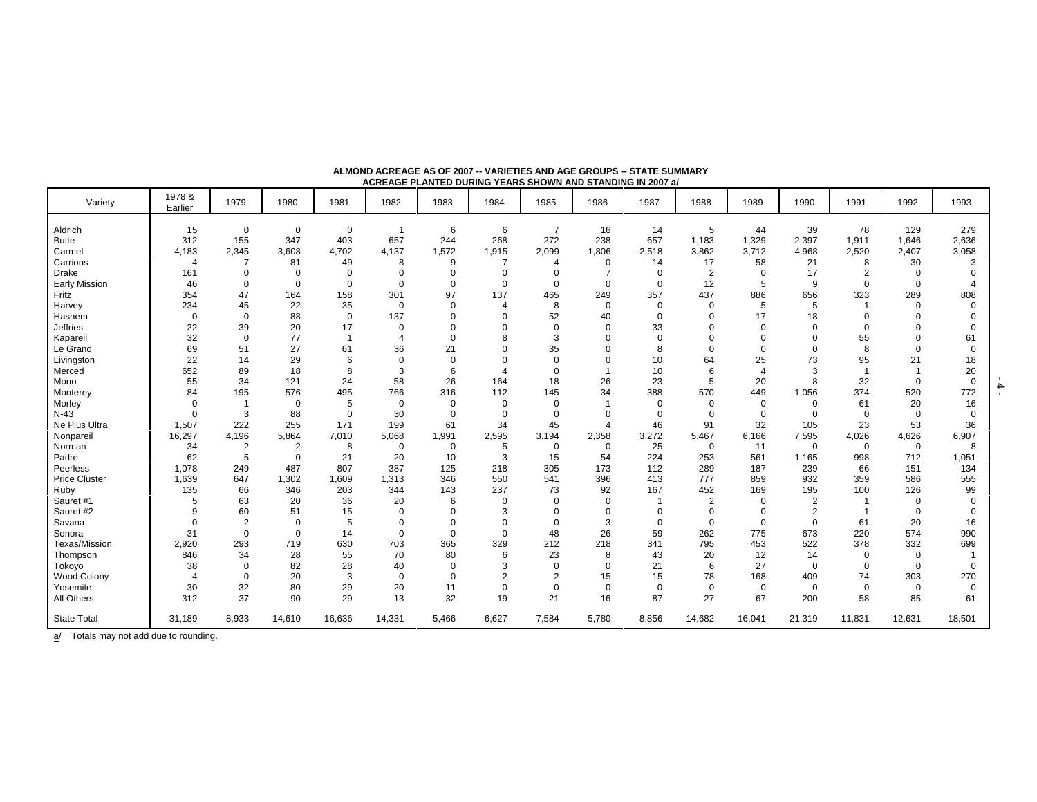|                      |                       |                |             |             | ,,,,,,,,,,, |             |                          |                |                |             |                |                |                |                |             |          |
|----------------------|-----------------------|----------------|-------------|-------------|-------------|-------------|--------------------------|----------------|----------------|-------------|----------------|----------------|----------------|----------------|-------------|----------|
| Variety              | 1978 &<br>Earlier     | 1979           | 1980        | 1981        | 1982        | 1983        | 1984                     | 1985           | 1986           | 1987        | 1988           | 1989           | 1990           | 1991           | 1992        | 1993     |
| Aldrich              | 15                    | 0              | $\mathbf 0$ | 0           | -1          | 6           | 6                        | $\overline{7}$ | 16             | 14          | 5              | 44             | 39             | 78             | 129         | 279      |
| <b>Butte</b>         | 312                   | 155            | 347         | 403         | 657         | 244         | 268                      | 272            | 238            | 657         | 1,183          | 1,329          | 2,397          | 1,911          | 1,646       | 2,636    |
| Carmel               | 4,183                 | 2,345          | 3,608       | 4,702       | 4,137       | 1,572       | 1,915                    | 2,099          | 1,806          | 2,518       | 3,862          | 3,712          | 4,968          | 2,520          | 2,407       | 3,058    |
| Carrions             | $\overline{4}$        |                | 81          | 49          | 8           | 9           | -7                       | 4              | 0              | 14          | 17             | 58             | 21             | 8              | 30          |          |
| <b>Drake</b>         | 161                   | $\mathbf 0$    | $\mathbf 0$ | $\mathbf 0$ | $\mathbf 0$ | $\mathbf 0$ | $\mathbf 0$              | $\Omega$       | $\overline{7}$ | $\mathbf 0$ | $\overline{2}$ | $\mathbf 0$    | 17             | $\overline{2}$ | $\mathbf 0$ |          |
| <b>Early Mission</b> | 46                    | $\Omega$       | $\Omega$    | $\mathbf 0$ | $\Omega$    | $\mathbf 0$ | $\mathbf 0$              | $\Omega$       | $\mathbf 0$    | $\Omega$    | 12             | 5              | 9              | $\Omega$       | $\Omega$    |          |
| Fritz                | 354                   | 47             | 164         | 158         | 301         | 97          | 137                      | 465            | 249            | 357         | 437            | 886            | 656            | 323            | 289         | 808      |
| Harvey               | 234                   | 45             | 22          | 35          | $\mathbf 0$ | $\mathbf 0$ | $\overline{\mathcal{A}}$ | 8              | $\mathbf 0$    | 0           | $\mathbf 0$    | 5              | 5              |                | $\Omega$    |          |
| Hashem               | $\mathbf 0$           | $\Omega$       | 88          | $\mathbf 0$ | 137         | $\Omega$    | $\Omega$                 | 52             | 40             | $\mathbf 0$ | $\Omega$       | 17             | 18             | $\Omega$       | $\Omega$    |          |
| <b>Jeffries</b>      | 22                    | 39             | 20          | 17          | $\mathbf 0$ | $\Omega$    | $\Omega$                 | $\mathbf 0$    | $\mathbf 0$    | 33          | $\Omega$       | $\Omega$       | $\Omega$       | $\Omega$       | $\Omega$    |          |
| Kapareil             | 32                    | $\mathbf 0$    | 77          |             | 4           | $\mathbf 0$ | 8                        | 3              | 0              | $\mathbf 0$ | $\Omega$       | O              |                | 55             | $\Omega$    | 61       |
| Le Grand             | 69                    | 51             | 27          | 61          | 36          | 21          | $\Omega$                 | 35             | 0              | 8           | $\Omega$       | $\Omega$       | $\Omega$       | 8              | $\Omega$    |          |
| Livingston           | 22                    | 14             | 29          | 6           | $\mathbf 0$ | $\mathbf 0$ | $\Omega$                 | $\Omega$       | 0              | 10          | 64             | 25             | 73             | 95             | 21          | 18       |
| Merced               | 652                   | 89             | 18          | 8           | 3           | 6           | $\overline{4}$           | $\Omega$       |                | 10          | 6              | $\overline{4}$ | 3              |                |             | 20       |
| Mono                 | 55                    | 34             | 121         | 24          | 58          | 26          | 164                      | 18             | 26             | 23          | 5              | 20             | 8              | 32             | $\Omega$    | $\Omega$ |
| Monterey             | 84                    | 195            | 576         | 495         | 766         | 316         | 112                      | 145            | 34             | 388         | 570            | 449            | 1,056          | 374            | 520         | 772      |
| Morley               | $\mathbf 0$           | $\overline{1}$ | $\mathbf 0$ | 5           | $\mathbf 0$ | $\mathbf 0$ | $\mathbf 0$              | $\mathbf 0$    |                | $\mathbf 0$ | $\mathbf 0$    | $\mathbf 0$    | $\mathbf 0$    | 61             | 20          | 16       |
| $N-43$               | $\Omega$              | 3              | 88          | $\mathbf 0$ | 30          | $\mathbf 0$ | $\mathbf 0$              | $\mathbf 0$    | 0              | $\Omega$    | $\Omega$       | $\Omega$       | $\Omega$       | $\Omega$       | $\Omega$    | $\Omega$ |
| Ne Plus Ultra        | 1,507                 | 222            | 255         | 171         | 199         | 61          | 34                       | 45             | $\overline{4}$ | 46          | 91             | 32             | 105            | 23             | 53          | 36       |
| Nonpareil            | 16,297                | 4,196          | 5,864       | 7,010       | 5,068       | 1,991       | 2,595                    | 3,194          | 2,358          | 3,272       | 5,467          | 6,166          | 7,595          | 4,026          | 4,626       | 6,907    |
| Norman               | 34                    | 2              | 2           | 8           | 0           | $\mathbf 0$ | 5                        | $\mathbf 0$    | $\mathbf 0$    | 25          | $\mathbf 0$    | 11             | $\mathbf 0$    | $\mathbf 0$    | $\mathbf 0$ | 8        |
| Padre                | 62                    | 5              | $\Omega$    | 21          | 20          | 10          | 3                        | 15             | 54             | 224         | 253            | 561            | 1,165          | 998            | 712         | 1,051    |
| Peerless             | 1,078                 | 249            | 487         | 807         | 387         | 125         | 218                      | 305            | 173            | 112         | 289            | 187            | 239            | 66             | 151         | 134      |
| <b>Price Cluster</b> | 1,639                 | 647            | 1,302       | 1,609       | 1,313       | 346         | 550                      | 541            | 396            | 413         | 777            | 859            | 932            | 359            | 586         | 555      |
| Ruby                 | 135                   | 66             | 346         | 203         | 344         | 143         | 237                      | 73             | 92             | 167         | 452            | 169            | 195            | 100            | 126         | 99       |
| Sauret #1            | 5                     | 63             | 20          | 36          | 20          | 6           | 0                        | $\Omega$       | 0              | $\mathbf 1$ | $\overline{2}$ | $\Omega$       | $\overline{2}$ |                | $\Omega$    |          |
| Sauret #2            | 9                     | 60             | 51          | 15          | $\Omega$    | $\Omega$    | 3                        | $\Omega$       | $\mathbf 0$    | $\mathbf 0$ | $\Omega$       | $\Omega$       | $\overline{2}$ |                | $\Omega$    |          |
| Savana               | $\mathbf 0$           | $\overline{2}$ | $\mathbf 0$ | 5           | $\mathbf 0$ | $\Omega$    | $\Omega$                 | $\mathbf 0$    | 3              | $\mathbf 0$ | $\mathbf 0$    | $\mathbf 0$    | $\mathbf 0$    | 61             | 20          | 16       |
| Sonora               | 31                    | $\mathbf 0$    | $\Omega$    | 14          | $\mathbf 0$ | $\mathbf 0$ | $\Omega$                 | 48             | 26             | 59          | 262            | 775            | 673            | 220            | 574         | 990      |
| Texas/Mission        | 2,920                 | 293            | 719         | 630         | 703         | 365         | 329                      | 212            | 218            | 341         | 795            | 453            | 522            | 378            | 332         | 699      |
| Thompson             | 846                   | 34             | 28          | 55          | 70          | 80          | 6                        | 23             | 8              | 43          | 20             | 12             | 14             | 0              | $\mathbf 0$ |          |
| Tokoyo               | 38                    | $\Omega$       | 82          | 28          | 40          | $\mathbf 0$ | 3                        | $\mathbf 0$    | $\mathbf 0$    | 21          | 6              | 27             | $\mathbf 0$    | $\mathbf 0$    | $\mathbf 0$ |          |
| Wood Colony          | $\boldsymbol{\Delta}$ | $\Omega$       | 20          | 3           | $\mathbf 0$ | $\mathbf 0$ | $\overline{2}$           | $\overline{2}$ | 15             | 15          | 78             | 168            | 409            | 74             | 303         | 270      |
| Yosemite             | 30                    | 32             | 80          | 29          | 20          | 11          | 0                        | 0              | $\mathbf 0$    | 0           | $\mathbf 0$    | 0              | $\mathbf 0$    | $\mathbf 0$    | $\mathbf 0$ | $\Omega$ |
| All Others           | 312                   | 37             | 90          | 29          | 13          | 32          | 19                       | 21             | 16             | 87          | 27             | 67             | 200            | 58             | 85          | 61       |
| <b>State Total</b>   | 31,189                | 8,933          | 14,610      | 16,636      | 14,331      | 5,466       | 6,627                    | 7,584          | 5,780          | 8,856       | 14,682         | 16,041         | 21,319         | 11,831         | 12,631      | 18,501   |

**ALMOND ACREAGE AS OF 2007 -- VARIETIES AND AGE GROUPS -- STATE SUMMARY ACREAGE PLANTED DURING YEARS SHOWN AND STANDING IN 2007 a/**

 $\frac{a}{b}$  Totals may not add due to rounding.

- 4 -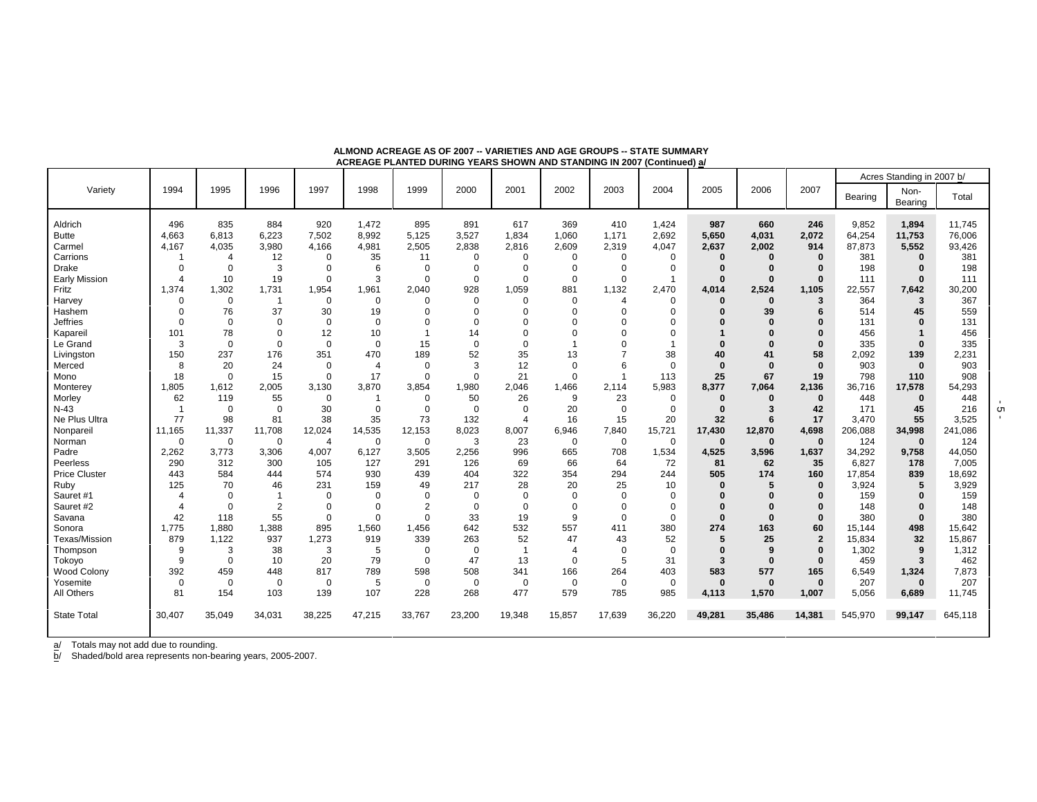|                         |                |              |                |                |                |                |              |                |                |                          |                |              |              |                |                 | Acres Standing in 2007 b/ |                  |
|-------------------------|----------------|--------------|----------------|----------------|----------------|----------------|--------------|----------------|----------------|--------------------------|----------------|--------------|--------------|----------------|-----------------|---------------------------|------------------|
| Variety                 | 1994           | 1995         | 1996           | 1997           | 1998           | 1999           | 2000         | 2001           | 2002           | 2003                     | 2004           | 2005         | 2006         | 2007           | Bearing         | Non-<br>Bearing           | Total            |
| Aldrich<br><b>Butte</b> | 496<br>4,663   | 835<br>6,813 | 884<br>6,223   | 920<br>7,502   | 1,472<br>8,992 | 895<br>5,125   | 891<br>3,527 | 617<br>1,834   | 369<br>1,060   | 410<br>1,171             | 1,424<br>2,692 | 987<br>5,650 | 660<br>4,031 | 246<br>2,072   | 9,852<br>64,254 | 1.894<br>11,753           | 11.745<br>76,006 |
| Carmel                  | 4,167          | 4,035        | 3,980          | 4,166          | 4,981          | 2,505          | 2,838        | 2,816          | 2,609          | 2,319                    | 4,047          | 2,637        | 2,002        | 914            | 87,873          | 5,552                     | 93,426           |
| Carrions                | -1             | 4            | 12             | $\Omega$       | 35             | 11             | 0            | 0              | $\Omega$       | $\Omega$                 | 0              | $\Omega$     | O            | $\bf{0}$       | 381             | $\bf{0}$                  | 381              |
| <b>Drake</b>            | $\Omega$       | $\mathbf 0$  | 3              | $\Omega$       | 6              | $\Omega$       | $\Omega$     | $\Omega$       | $\Omega$       | $\Omega$                 | $\Omega$       | $\Omega$     | O            |                | 198             |                           | 198              |
| Early Mission           | $\overline{4}$ | 10           | 19             | $\Omega$       | 3              | $\mathbf 0$    | $\mathbf 0$  | $\mathbf 0$    | $\Omega$       | $\Omega$                 | $\overline{1}$ | $\bf{0}$     | $\bf{0}$     | $\bf{0}$       | 111             | $\bf{0}$                  | 111              |
| Fritz                   | 1,374          | 1,302        | 1,731          | 1,954          | 1,961          | 2,040          | 928          | 1,059          | 881            | 1,132                    | 2.470          | 4,014        | 2,524        | 1,105          | 22,557          | 7,642                     | 30,200           |
| Harvey                  | $\Omega$       | $\mathbf 0$  | $\overline{1}$ | $\mathbf 0$    | $\mathbf 0$    | $\Omega$       | $\mathbf 0$  | $\Omega$       | $\Omega$       | $\Delta$                 | $\mathbf 0$    | $\Omega$     | $\Omega$     | 3              | 364             | 3                         | 367              |
| Hashem                  | $\Omega$       | 76           | 37             | 30             | 19             | $\Omega$       | $\mathbf 0$  | 0              | $\Omega$       | $\Omega$                 | $\mathbf 0$    | $\Omega$     | 39           |                | 514             | 45                        | 559              |
| <b>Jeffries</b>         | $\Omega$       | $\Omega$     | $\mathbf 0$    | $\Omega$       | $\Omega$       | $\Omega$       | $\Omega$     | $\Omega$       | $\Omega$       |                          | $\Omega$       |              | ŋ            |                | 131             | 0                         | 131              |
| Kapareil                | 101            | 78           | 0              | 12             | 10             | $\overline{1}$ | 14           | $\Omega$       |                |                          | $\Omega$       |              |              |                | 456             |                           | 456              |
| Le Grand                | 3              | $\mathbf 0$  | 0              | $\mathbf 0$    | $\mathbf 0$    | 15             | $\mathbf 0$  | 0              |                |                          |                |              |              |                | 335             | $\bf{0}$                  | 335              |
| Livingston              | 150            | 237          | 176            | 351            | 470            | 189            | 52           | 35             | 13             |                          | 38             | 40           | 41           | 58             | 2,092           | 139                       | 2,231            |
| Merced                  | 8              | 20           | 24             | $\mathbf 0$    | $\overline{4}$ | $\Omega$       | 3            | 12             | $\Omega$       | 6                        | $\Omega$       | $\bf{0}$     | $\Omega$     | $\bf{0}$       | 903             | $\bf{0}$                  | 903              |
| Mono                    | 18             | $\mathbf 0$  | 15             | $\mathbf 0$    | 17             | $\Omega$       | $\mathbf 0$  | 21             | $\Omega$       | $\overline{\phantom{a}}$ | 113            | 25           | 67           | 19             | 798             | 110                       | 908              |
| Monterey                | 1,805          | 1,612        | 2,005          | 3,130          | 3,870          | 3,854          | 1,980        | 2,046          | 1,466          | 2,114                    | 5,983          | 8,377        | 7,064        | 2,136          | 36,716          | 17,578                    | 54,293           |
| Morley                  | 62             | 119          | 55             | $\mathbf 0$    | -1             | $\mathbf 0$    | 50           | 26             | 9              | 23                       | 0              | $\bf{0}$     | $\Omega$     | $\bf{0}$       | 448             | $\bf{0}$                  | 448              |
| $N-43$                  | $\overline{1}$ | $\mathbf 0$  | $\mathbf 0$    | 30             | $\mathbf 0$    | $\mathbf 0$    | $\mathbf 0$  | $\Omega$       | 20             | $\Omega$                 | $\Omega$       | $\bf{0}$     | 3            | 42             | 171             | 45                        | 216              |
| Ne Plus Ultra           | 77             | 98           | 81             | 38             | 35             | 73             | 132          | $\overline{4}$ | 16             | 15                       | 20             | 32           | 6            | 17             | 3,470           | 55                        | 3,525            |
| Nonparei                | 11,165         | 11,337       | 11,708         | 12,024         | 14,535         | 12,153         | 8,023        | 8,007          | 6,946          | 7,840                    | 15,721         | 17,430       | 12,870       | 4,698          | 206,088         | 34,998                    | 241,086          |
| Norman                  | $\Omega$       | $\mathbf 0$  | $\mathbf 0$    | $\overline{4}$ | $\mathbf 0$    | $\mathbf 0$    | 3            | 23             | $\mathbf 0$    | $\mathbf 0$              | $\mathbf 0$    | $\mathbf 0$  | $\mathbf 0$  | $\bf{0}$       | 124             | $\mathbf 0$               | 124              |
| Padre                   | 2.262          | 3,773        | 3,306          | 4,007          | 6,127          | 3,505          | 2,256        | 996            | 665            | 708                      | 1,534          | 4,525        | 3,596        | 1,637          | 34,292          | 9,758                     | 44,050           |
| Peerless                | 290            | 312          | 300            | 105            | 127            | 291            | 126          | 69             | 66             | 64                       | 72             | 81           | 62           | 35             | 6,827           | 178                       | 7,005            |
| <b>Price Cluster</b>    | 443            | 584          | 444            | 574            | 930            | 439            | 404          | 322            | 354            | 294                      | 244            | 505          | 174          | 160            | 17,854          | 839                       | 18,692           |
| Ruby                    | 125            | 70           | 46             | 231            | 159            | 49             | 217          | 28             | 20             | 25                       | 10             | $\Omega$     | 5            | $\bf{0}$       | 3,924           | 5                         | 3,929            |
| Sauret #1               | $\overline{4}$ | $\mathbf 0$  |                | $\Omega$       | $\Omega$       | $\Omega$       | $\mathbf 0$  | 0              | $\Omega$       | $\Omega$                 | $\Omega$       |              |              |                | 159             |                           | 159              |
| Sauret #2               | $\overline{4}$ | $\mathbf 0$  | 2              | $\Omega$       | $\Omega$       | $\overline{2}$ | $\mathbf 0$  | $\mathbf 0$    | $\Omega$       | $\Omega$                 | $\Omega$       | $\Omega$     |              |                | 148             |                           | 148              |
| Savana                  | 42             | 118          | 55             | $\Omega$       | $\mathbf 0$    | $\Omega$       | 33           | 19             | 9              | $\Omega$                 | $\Omega$       | $\Omega$     | $\Omega$     | $\bf{0}$       | 380             | $\bf{0}$                  | 380              |
| Sonora                  | 1,775          | 1,880        | 1,388          | 895            | 1,560          | 1,456          | 642          | 532            | 557            | 411                      | 380            | 274          | 163          | 60             | 15,144          | 498                       | 15,642           |
| <b>Texas/Mission</b>    | 879            | 1,122        | 937            | 1,273          | 919            | 339            | 263          | 52             | 47             | 43                       | 52             | 5            | 25           | $\overline{2}$ | 15,834          | 32                        | 15,867           |
| Thompson                | 9              | 3            | 38             | 3              | 5              | $\mathbf 0$    | $\mathbf 0$  |                | $\overline{4}$ | $\mathbf 0$              | $\mathbf 0$    | $\Omega$     | 9            |                | 1,302           | 9                         | 1,312            |
| Tokoyo                  | 9              | $\mathbf 0$  | 10             | 20             | 79             | $\mathbf 0$    | 47           | 13             | $\Omega$       | 5                        | 31             | 3            | $\bf{0}$     | $\bf{0}$       | 459             | 3                         | 462              |
| Wood Colony             | 392            | 459          | 448            | 817            | 789            | 598            | 508          | 341            | 166            | 264                      | 403            | 583          | 577          | 165            | 6,549           | 1,324                     | 7,873            |
| Yosemite                | $\mathbf 0$    | $\mathbf 0$  | $\mathbf 0$    | $\mathbf 0$    | 5              | $\mathbf 0$    | $\mathbf 0$  | $\mathbf 0$    | $\Omega$       | $\mathbf 0$              | $\mathbf 0$    | $\bf{0}$     | $\bf{0}$     | $\bf{0}$       | 207             | $\bf{0}$                  | 207              |
| All Others              | 81             | 154          | 103            | 139            | 107            | 228            | 268          | 477            | 579            | 785                      | 985            | 4,113        | 1,570        | 1,007          | 5,056           | 6.689                     | 11,745           |
|                         |                |              |                |                |                |                |              |                |                |                          |                |              |              |                |                 |                           |                  |
| <b>State Total</b>      | 30,407         | 35,049       | 34,031         | 38,225         | 47,215         | 33,767         | 23,200       | 19,348         | 15,857         | 17,639                   | 36,220         | 49,281       | 35,486       | 14,381         | 545,970         | 99,147                    | 645,118          |

**ALMOND ACREAGE AS OF 2007 -- VARIETIES AND AGE GROUPS -- STATE SUMMARY ACREAGE PLANTED DURING YEARS SHOWN AND STANDING IN 2007 (Continued) a/**

b/ Shaded/bold area represents non-bearing years, 2005-2007.

 $\frac{1}{2}$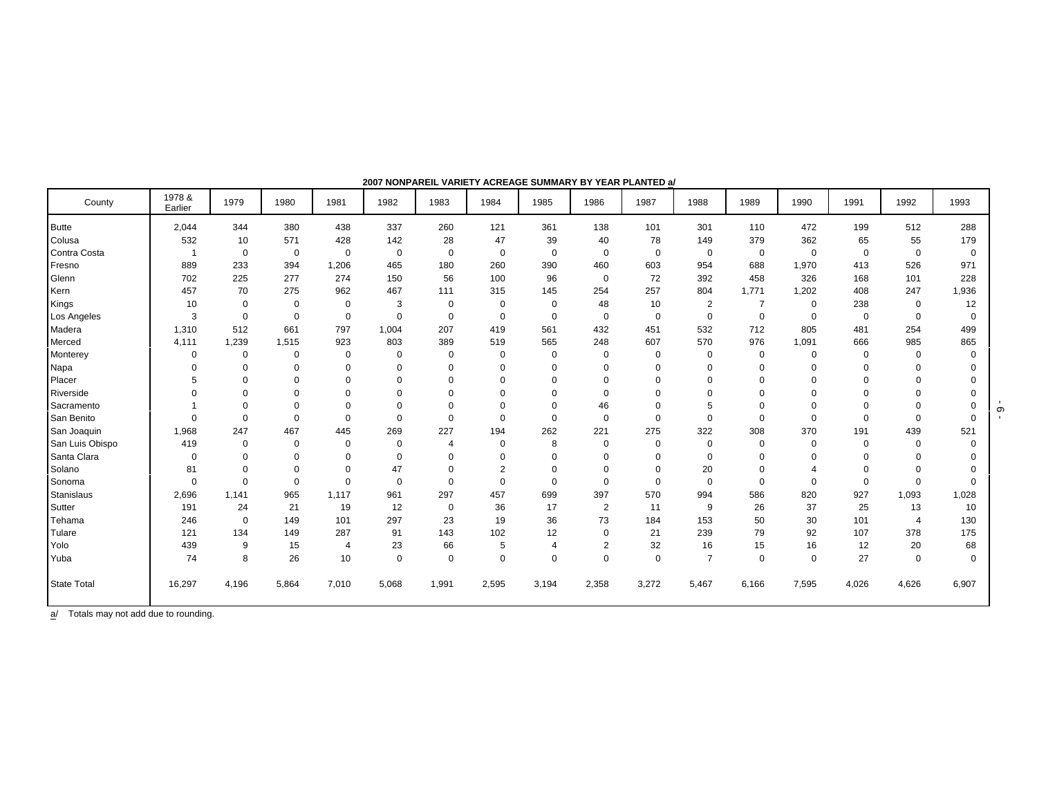| County             | 1978 &<br>Earlier | 1979        | 1980        | 1981           | 1982        | 1983           | 1984           | 1985           | 1986           | 1987        | 1988           | 1989           | 1990        | 1991        | 1992           | 1993        |
|--------------------|-------------------|-------------|-------------|----------------|-------------|----------------|----------------|----------------|----------------|-------------|----------------|----------------|-------------|-------------|----------------|-------------|
| <b>Butte</b>       | 2,044             | 344         | 380         | 438            | 337         | 260            | 121            | 361            | 138            | 101         | 301            | 110            | 472         | 199         | 512            | 288         |
| Colusa             | 532               | 10          | 571         | 428            | 142         | 28             | 47             | 39             | 40             | 78          | 149            | 379            | 362         | 65          | 55             | 179         |
| Contra Costa       | $\overline{1}$    | $\mathbf 0$ | $\mathbf 0$ | 0              | $\mathbf 0$ | $\mathbf 0$    | $\mathbf 0$    | $\mathbf 0$    | $\mathbf 0$    | $\mathbf 0$ | $\mathbf 0$    | $\mathbf 0$    | $\mathbf 0$ | $\mathbf 0$ | $\mathbf 0$    | $\mathbf 0$ |
| Fresno             | 889               | 233         | 394         | 1,206          | 465         | 180            | 260            | 390            | 460            | 603         | 954            | 688            | 1,970       | 413         | 526            | 971         |
| Glenn              | 702               | 225         | 277         | 274            | 150         | 56             | 100            | 96             | $\mathbf 0$    | 72          | 392            | 458            | 326         | 168         | 101            | 228         |
| Kern               | 457               | 70          | 275         | 962            | 467         | 111            | 315            | 145            | 254            | 257         | 804            | 1,771          | 1,202       | 408         | 247            | 1,936       |
| Kings              | 10                | $\mathbf 0$ | $\mathbf 0$ | 0              | 3           | $\mathbf 0$    | $\mathbf 0$    | $\mathbf 0$    | 48             | 10          | 2              | $\overline{7}$ | $\mathbf 0$ | 238         | $\mathbf 0$    | 12          |
| Los Angeles        | 3                 | $\mathbf 0$ | $\mathbf 0$ | $\mathbf 0$    | $\mathbf 0$ | $\mathbf 0$    | $\mathbf 0$    | $\mathbf 0$    | $\mathbf 0$    | $\mathbf 0$ | $\mathbf 0$    | $\mathbf 0$    | $\mathbf 0$ | $\mathbf 0$ | $\mathbf 0$    | $\mathbf 0$ |
| Madera             | 1,310             | 512         | 661         | 797            | 1,004       | 207            | 419            | 561            | 432            | 451         | 532            | 712            | 805         | 481         | 254            | 499         |
| Merced             | 4,111             | 1,239       | 1,515       | 923            | 803         | 389            | 519            | 565            | 248            | 607         | 570            | 976            | 1,091       | 666         | 985            | 865         |
| Monterey           | 0                 | $\mathbf 0$ | $\mathbf 0$ | 0              | $\mathbf 0$ | $\mathbf 0$    | $\mathbf 0$    | $\mathbf 0$    | 0              | $\mathbf 0$ | $\mathbf 0$    | $\mathbf 0$    | $\mathbf 0$ | $\Omega$    | $\mathbf 0$    | $\mathbf 0$ |
| Napa               | $\Omega$          | $\Omega$    | $\mathbf 0$ | $\Omega$       | $\Omega$    | $\mathbf 0$    | $\mathbf 0$    | $\Omega$       | 0              | $\mathbf 0$ | $\mathbf 0$    | $\Omega$       | $\Omega$    | $\Omega$    | $\Omega$       | $\Omega$    |
| Placer             | 5                 | $\Omega$    | 0           | 0              | $\Omega$    | $\mathbf 0$    | 0              | $\mathbf 0$    | 0              | $\Omega$    | $\mathbf 0$    | $\Omega$       | $\Omega$    | $\Omega$    | $\Omega$       | 0           |
| Riverside          | $\Omega$          | $\Omega$    | $\mathbf 0$ | 0              | $\mathbf 0$ | $\mathbf 0$    | $\Omega$       | $\Omega$       | $\mathbf 0$    | $\Omega$    | $\Omega$       | $\Omega$       | $\Omega$    | $\Omega$    | $\Omega$       | 0           |
| Sacramento         |                   | $\Omega$    | $\mathbf 0$ | $\Omega$       | $\Omega$    | $\mathbf 0$    | $\mathbf 0$    | $\mathbf 0$    | 46             | $\Omega$    | 5              | $\Omega$       | $\Omega$    | $\Omega$    | $\Omega$       | 0           |
| San Benito         | $\Omega$          | $\mathbf 0$ | $\mathsf 0$ | $\Omega$       | $\mathbf 0$ | $\mathbf 0$    | 0              | $\mathbf 0$    | 0              | $\mathbf 0$ | $\mathbf 0$    | $\Omega$       | $\Omega$    | $\mathbf 0$ | $\mathbf 0$    | 0           |
| San Joaquin        | 1,968             | 247         | 467         | 445            | 269         | 227            | 194            | 262            | 221            | 275         | 322            | 308            | 370         | 191         | 439            | 521         |
| San Luis Obispo    | 419               | 0           | $\mathbf 0$ | $\Omega$       | $\mathbf 0$ | $\overline{4}$ | 0              | 8              | 0              | $\mathbf 0$ | $\mathbf 0$    | $\mathbf 0$    | $\Omega$    | $\mathbf 0$ | $\mathbf 0$    | $\mathbf 0$ |
| Santa Clara        | $\mathbf 0$       | $\mathbf 0$ | $\mathbf 0$ | $\mathbf 0$    | $\mathbf 0$ | $\mathbf 0$    | $\Omega$       | $\Omega$       | 0              | $\Omega$    | $\mathbf 0$    | $\Omega$       | $\Omega$    | $\Omega$    | $\Omega$       | $\Omega$    |
| Solano             | 81                | $\Omega$    | $\Omega$    | $\Omega$       | 47          | $\mathbf 0$    | $\overline{2}$ | $\mathbf 0$    | 0              | $\mathbf 0$ | 20             | $\Omega$       | 4           | $\Omega$    | $\Omega$       | 0           |
| Sonoma             | $\Omega$          | $\Omega$    | $\mathbf 0$ | $\Omega$       | $\mathbf 0$ | $\mathbf 0$    | 0              | $\mathbf 0$    | 0              | $\mathbf 0$ | $\mathbf 0$    | $\Omega$       | $\mathbf 0$ | $\mathbf 0$ | $\mathbf 0$    | $\mathbf 0$ |
| <b>Stanislaus</b>  | 2,696             | 1.141       | 965         | 1,117          | 961         | 297            | 457            | 699            | 397            | 570         | 994            | 586            | 820         | 927         | 1,093          | 1,028       |
| Sutter             | 191               | 24          | 21          | 19             | 12          | 0              | 36             | 17             | 2              | 11          | 9              | 26             | 37          | 25          | 13             | 10          |
| Tehama             | 246               | $\mathbf 0$ | 149         | 101            | 297         | 23             | 19             | 36             | 73             | 184         | 153            | 50             | 30          | 101         | $\overline{4}$ | 130         |
| Tulare             | 121               | 134         | 149         | 287            | 91          | 143            | 102            | 12             | $\mathbf 0$    | 21          | 239            | 79             | 92          | 107         | 378            | 175         |
| Yolo               | 439               | 9           | 15          | $\overline{4}$ | 23          | 66             | 5              | $\overline{4}$ | $\overline{2}$ | 32          | 16             | 15             | 16          | 12          | 20             | 68          |
| Yuba               | 74                | 8           | 26          | 10             | $\mathbf 0$ | $\mathbf 0$    | 0              | $\mathbf 0$    | 0              | $\mathbf 0$ | $\overline{7}$ | $\mathbf 0$    | $\Omega$    | 27          | $\mathbf 0$    | $\mathbf 0$ |
| <b>State Total</b> | 16,297            | 4,196       | 5,864       | 7,010          | 5,068       | 1,991          | 2,595          | 3,194          | 2,358          | 3,272       | 5,467          | 6,166          | 7,595       | 4,026       | 4,626          | 6,907       |

**2007 NONPAREIL VARIETY ACREAGE SUMMARY BY YEAR PLANTED a/**

 $\overline{a}$  Totals may not add due to rounding.

 $-9 -$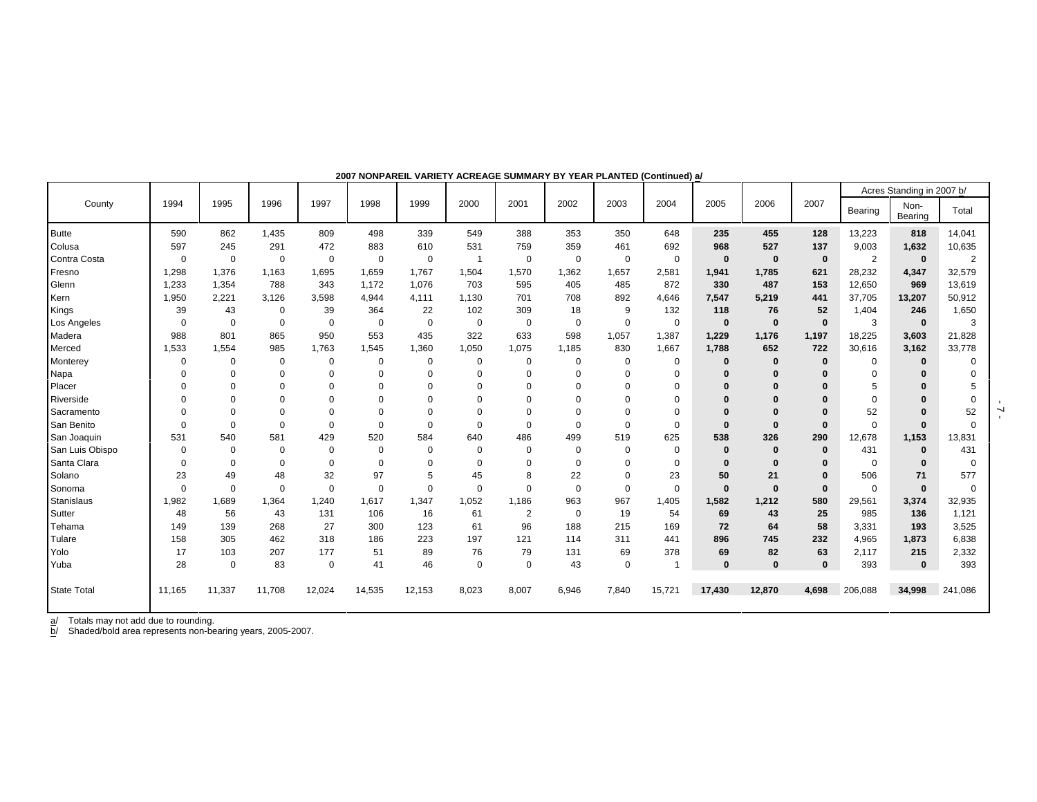|                    |          |             |             |             |             |             |          |                |             |             |             |          |          |              |                | Acres Standing in 2007 b/ |                |
|--------------------|----------|-------------|-------------|-------------|-------------|-------------|----------|----------------|-------------|-------------|-------------|----------|----------|--------------|----------------|---------------------------|----------------|
| County             | 1994     | 1995        | 1996        | 1997        | 1998        | 1999        | 2000     | 2001           | 2002        | 2003        | 2004        | 2005     | 2006     | 2007         | Bearing        | Non-<br>Bearing           | Total          |
| <b>Butte</b>       | 590      | 862         | 1,435       | 809         | 498         | 339         | 549      | 388            | 353         | 350         | 648         | 235      | 455      | 128          | 13,223         | 818                       | 14,041         |
| Colusa             | 597      | 245         | 291         | 472         | 883         | 610         | 531      | 759            | 359         | 461         | 692         | 968      | 527      | 137          | 9,003          | 1,632                     | 10,635         |
| Contra Costa       | 0        | $\mathbf 0$ | $\Omega$    | $\mathbf 0$ | $\mathbf 0$ | $\mathbf 0$ | -1       | $\overline{0}$ | 0           | 0           | $\mathbf 0$ | $\bf{0}$ | $\bf{0}$ | $\mathbf{0}$ | $\overline{2}$ | $\mathbf{0}$              | $\overline{2}$ |
| Fresno             | 1,298    | 1,376       | 1,163       | 1,695       | 1,659       | 1,767       | 1,504    | 1,570          | 1,362       | 1,657       | 2,581       | 1,941    | 1,785    | 621          | 28,232         | 4,347                     | 32,579         |
| Glenn              | 1,233    | 1,354       | 788         | 343         | 1,172       | 1,076       | 703      | 595            | 405         | 485         | 872         | 330      | 487      | 153          | 12,650         | 969                       | 13,619         |
| Kern               | 1,950    | 2,221       | 3,126       | 3,598       | 4,944       | 4,111       | 1,130    | 701            | 708         | 892         | 4,646       | 7,547    | 5,219    | 441          | 37,705         | 13,207                    | 50,912         |
| Kings              | 39       | 43          | $\Omega$    | 39          | 364         | 22          | 102      | 309            | 18          | 9           | 132         | 118      | 76       | 52           | 1,404          | 246                       | 1,650          |
| Los Angeles        | 0        | 0           | $\mathbf 0$ | $\mathbf 0$ | 0           | 0           | 0        | 0              | 0           | 0           | $\mathbf 0$ | $\bf{0}$ | $\bf{0}$ | $\bf{0}$     | 3              | $\mathbf 0$               | 3              |
| Madera             | 988      | 801         | 865         | 950         | 553         | 435         | 322      | 633            | 598         | 1,057       | 1,387       | 1,229    | 1,176    | 1,197        | 18,225         | 3,603                     | 21,828         |
| Merced             | 1,533    | 1,554       | 985         | 1,763       | 1,545       | 1,360       | 1,050    | 1,075          | 1,185       | 830         | 1,667       | 1,788    | 652      | 722          | 30,616         | 3,162                     | 33,778         |
| Monterey           | $\Omega$ | $\Omega$    | $\Omega$    | 0           | 0           | 0           | 0        | 0              | $\Omega$    | 0           | $\mathbf 0$ | $\bf{0}$ | 0        | $\bf{0}$     | $\Omega$       | $\bf{0}$                  | $\Omega$       |
| Napa               | 0        | $\Omega$    | $\Omega$    | 0           | 0           | $\Omega$    | 0        | $\Omega$       | $\Omega$    | $\Omega$    | $\mathbf 0$ | 0        | 0        | 0            | $\Omega$       | $\Omega$                  | 0              |
| Placer             | $\Omega$ | $\Omega$    | $\Omega$    | 0           | 0           | 0           | $\Omega$ | $\Omega$       | $\Omega$    | $\Omega$    | $\mathbf 0$ | $\Omega$ | 0        | $\bf{0}$     | 5              | $\bf{0}$                  |                |
| Riverside          | $\Omega$ | $\Omega$    | $\Omega$    | $\Omega$    | 0           | $\Omega$    | $\Omega$ | $\Omega$       | $\Omega$    | $\Omega$    | $\Omega$    | $\Omega$ | 0        | $\bf{0}$     | $\Omega$       | $\Omega$                  | $\Omega$       |
| Sacramento         | $\Omega$ | 0           | $\Omega$    |             | $\mathbf 0$ | 0           | 0        |                | $\Omega$    | 0           | 0           | $\Omega$ | 0        |              | 52             | $\Omega$                  | 52             |
| San Benito         | $\Omega$ | $\Omega$    | $\Omega$    | $\Omega$    | $\mathbf 0$ | $\Omega$    | $\Omega$ | $\Omega$       | $\mathbf 0$ | $\Omega$    | $\mathbf 0$ | $\bf{0}$ | 0        | $\Omega$     | $\Omega$       | $\bf{0}$                  | $\mathbf 0$    |
| San Joaquin        | 531      | 540         | 581         | 429         | 520         | 584         | 640      | 486            | 499         | 519         | 625         | 538      | 326      | 290          | 12,678         | 1,153                     | 13,831         |
| San Luis Obispo    | $\Omega$ | $\Omega$    | $\Omega$    | $\mathbf 0$ | 0           | 0           | 0        | $\mathbf 0$    | $\mathbf 0$ | $\Omega$    | $\mathbf 0$ | $\bf{0}$ | 0        | $\bf{0}$     | 431            | $\bf{0}$                  | 431            |
| Santa Clara        | $\Omega$ | $\Omega$    | $\Omega$    | $\Omega$    | $\mathbf 0$ | $\Omega$    | $\Omega$ | 0              | $\Omega$    | $\Omega$    | $\mathbf 0$ | $\bf{0}$ | 0        | $\bf{0}$     | $\Omega$       | $\bf{0}$                  | $\mathbf 0$    |
| Solano             | 23       | 49          | 48          | 32          | 97          | 5           | 45       | 8              | 22          | $\mathbf 0$ | 23          | 50       | 21       | $\bf{0}$     | 506            | 71                        | 577            |
| Sonoma             | 0        | $\Omega$    | $\Omega$    | $\mathbf 0$ | $\mathbf 0$ | 0           | $\Omega$ | $\Omega$       | $\mathbf 0$ | $\mathbf 0$ | $\mathbf 0$ | $\bf{0}$ | $\bf{0}$ | $\bf{0}$     | $\Omega$       | $\bf{0}$                  | $\mathbf 0$    |
| <b>Stanislaus</b>  | 1,982    | 1,689       | 1,364       | 1,240       | 1,617       | 1,347       | 1,052    | 1,186          | 963         | 967         | 1,405       | 1,582    | 1,212    | 580          | 29,561         | 3,374                     | 32,935         |
| Sutter             | 48       | 56          | 43          | 131         | 106         | 16          | 61       | $\overline{2}$ | 0           | 19          | 54          | 69       | 43       | 25           | 985            | 136                       | 1,121          |
| Tehama             | 149      | 139         | 268         | 27          | 300         | 123         | 61       | 96             | 188         | 215         | 169         | 72       | 64       | 58           | 3,331          | 193                       | 3,525          |
| Tulare             | 158      | 305         | 462         | 318         | 186         | 223         | 197      | 121            | 114         | 311         | 441         | 896      | 745      | 232          | 4,965          | 1,873                     | 6,838          |
| Yolo               | 17       | 103         | 207         | 177         | 51          | 89          | 76       | 79             | 131         | 69          | 378         | 69       | 82       | 63           | 2,117          | 215                       | 2,332          |
| Yuba               | 28       | $\mathbf 0$ | 83          | 0           | 41          | 46          | 0        | $\mathbf 0$    | 43          | 0           |             | 0        | 0        | $\bf{0}$     | 393            | $\bf{0}$                  | 393            |
| <b>State Total</b> | 11,165   | 11,337      | 11,708      | 12,024      | 14,535      | 12,153      | 8,023    | 8,007          | 6,946       | 7,840       | 15,721      | 17,430   | 12,870   | 4,698        | 206,088        | 34,998                    | 241,086        |

**2007 NONPAREIL VARIETY ACREAGE SUMMARY BY YEAR PLANTED (Continued) a/**

b/ Shaded/bold area represents non-bearing years, 2005-2007.

 $-7 -$